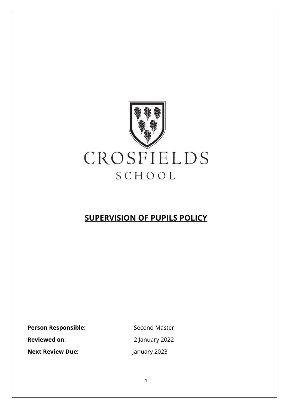

## **SUPERVISION OF PUPILS POLICY**

Person Responsible: Second Master

**Next Review Due:** January 2023

**Reviewed on**: 2 January 2022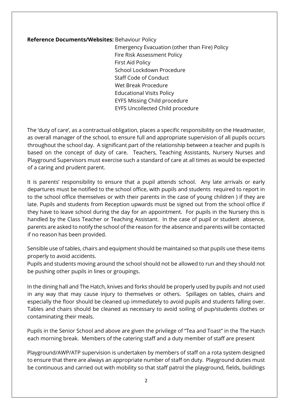## **Reference Documents/Websites:** Behaviour Policy

Emergency Evacuation (other than Fire) Policy Fire Risk Assessment Policy First Aid Policy School Lockdown Procedure Staff Code of Conduct Wet Break Procedure Educational Visits Policy EYFS Missing Child procedure EYFS Uncollected Child procedure

The 'duty of care', as a contractual obligation, places a specific responsibility on the Headmaster, as overall manager of the school, to ensure full and appropriate supervision of all pupils occurs throughout the school day. A significant part of the relationship between a teacher and pupils is based on the concept of duty of care. Teachers, Teaching Assistants, Nursery Nurses and Playground Supervisors must exercise such a standard of care at all times as would be expected of a caring and prudent parent.

It is parents' responsibility to ensure that a pupil attends school. Any late arrivals or early departures must be notified to the school office, with pupils and students required to report in to the school office themselves or with their parents in the case of young children ) if they are late. Pupils and students from Reception upwards must be signed out from the school office if they have to leave school during the day for an appointment. For pupils in the Nursery this is handled by the Class Teacher or Teaching Assistant. In the case of pupil or student absence, parents are asked to notify the school of the reason for the absence and parents will be contacted if no reason has been provided.

Sensible use of tables, chairs and equipment should be maintained so that pupils use these items properly to avoid accidents.

Pupils and students moving around the school should not be allowed to run and they should not be pushing other pupils in lines or groupings.

In the dining hall and The Hatch, knives and forks should be properly used by pupils and not used in any way that may cause injury to themselves or others. Spillages on tables, chairs and especially the floor should be cleaned up immediately to avoid pupils and students falling over. Tables and chairs should be cleaned as necessary to avoid soiling of pup/students clothes or contaminating their meals.

Pupils in the Senior School and above are given the privilege of "Tea and Toast" in the The Hatch each morning break. Members of the catering staff and a duty member of staff are present

Playground/AWP/ATP supervision is undertaken by members of staff on a rota system designed to ensure that there are always an appropriate number of staff on duty. Playground duties must be continuous and carried out with mobility so that staff patrol the playground, fields, buildings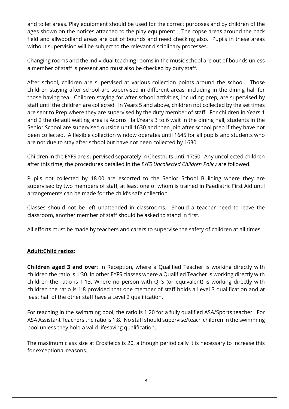and toilet areas. Play equipment should be used for the correct purposes and by children of the ages shown on the notices attached to the play equipment. The copse areas around the back field and allwoodland areas are out of bounds and need checking also. Pupils in these areas without supervision will be subject to the relevant disciplinary processes.

Changing rooms and the individual teaching rooms in the music school are out of bounds unless a member of staff is present and must also be checked by duty staff.

After school, children are supervised at various collection points around the school. Those children staying after school are supervised in different areas, including in the dining hall for those having tea. Children staying for after school activities, including prep, are supervised by staff until the children are collected. In Years 5 and above, children not collected by the set times are sent to Prep where they are supervised by the duty member of staff. For children in Years 1 and 2 the default waiting area is Acorns Hall.Years 3 to 6 wait in the dining hall; students in the Senior School are supervised outside until 1630 and then join after school prep if they have not been collected. A flexible collection window operates until 1645 for all pupils and students who are not due to stay after school but have not been collected by 1630.

Children in the EYFS are supervised separately in Chestnuts until 17:50. Any uncollected children after this time, the procedures detailed in the *EYFS Uncollected Children Policy* are followed.

Pupils not collected by 18.00 are escorted to the Senior School Building where they are supervised by two members of staff, at least one of whom is trained in Paediatric First Aid until arrangements can be made for the child's safe collection.

Classes should not be left unattended in classrooms. Should a teacher need to leave the classroom, another member of staff should be asked to stand in first.

All efforts must be made by teachers and carers to supervise the safety of children at all times.

## **Adult:Child ratios:**

**Children aged 3 and over**: In Reception, where a Qualified Teacher is working directly with children the ratio is 1:30. In other EYFS classes where a Qualified Teacher is working directly with children the ratio is 1:13. Where no person with QTS (or equivalent) is working directly with children the ratio is 1:8 provided that one member of staff holds a Level 3 qualification and at least half of the other staff have a Level 2 qualification.

For teaching in the swimming pool, the ratio is 1:20 for a fully qualified ASA/Sports teacher. For ASA Assistant Teachers the ratio is 1:8. No staff should supervise/teach children in the swimming pool unless they hold a valid lifesaving qualification.

The maximum class size at Crosfields is 20, although periodically it is necessary to increase this for exceptional reasons.